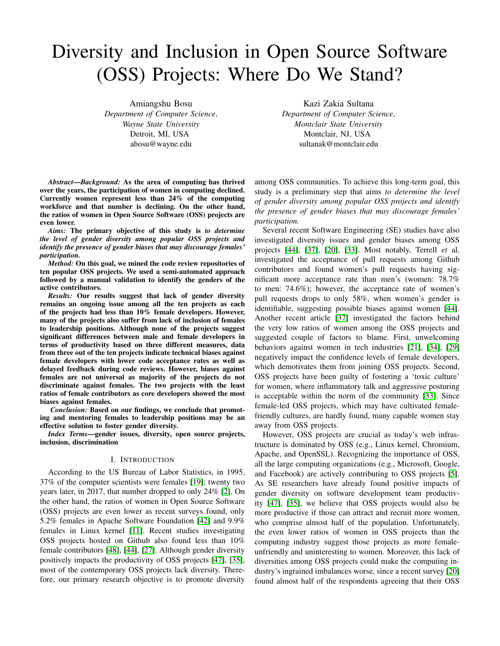# Diversity and Inclusion in Open Source Software (OSS) Projects: Where Do We Stand?

Amiangshu Bosu *Department of Computer Science*, *Wayne State University* Detroit, MI, USA abosu@wayne.edu

Kazi Zakia Sultana *Department of Computer Science*, *Montclair State University* Montclair, NJ, USA sultanak@montclair.edu

*Abstract*—*Background:* As the area of computing has thrived over the years, the participation of women in computing declined. Currently women represent less than 24% of the computing workforce and that number is declining. On the other hand, the ratios of women in Open Source Software (OSS) projects are even lower.

*Aims:* The primary objective of this study is *to determine the level of gender diversity among popular OSS projects and identify the presence of gender biases that may discourage females' participation.*

*Method:* On this goal, we mined the code review repositories of ten popular OSS projects. We used a semi-automated approach followed by a manual validation to identify the genders of the active contributors.

*Results:* Our results suggest that lack of gender diversity remains an ongoing issue among all the ten projects as each of the projects had less than 10% female developers. However, many of the projects also suffer from lack of inclusion of females to leadership positions. Although none of the projects suggest significant differences between male and female developers in terms of productivity based on three different measures, data from three out of the ten projects indicate technical biases against female developers with lower code acceptance rates as well as delayed feedback during code reviews. However, biases against females are not universal as majority of the projects do not discriminate against females. The two projects with the least ratios of female contributors as core developers showed the most biases against females.

*Conclusion:* Based on our findings, we conclude that promoting and mentoring females to leadership positions may be an effective solution to foster gender diversity.

*Index Terms*—gender issues, diversity, open source projects, inclusion, discrimination

#### I. INTRODUCTION

According to the US Bureau of Labor Statistics, in 1995, 37% of the computer scientists were females [\[19\]](#page-10-0); twenty two years later, in 2017, that number dropped to only 24% [\[2\]](#page-10-1). On the other hand, the ratios of women in Open Source Software (OSS) projects are even lower as recent surveys found, only 5.2% females in Apache Software Foundation [\[42\]](#page-10-2) and 9.9% females in Linux kernel [\[11\]](#page-10-3). Recent studies investigating OSS projects hosted on Github also found less than 10% female contributors [\[48\]](#page-11-0), [\[44\]](#page-10-4), [\[27\]](#page-10-5). Although gender diversity positively impacts the productivity of OSS projects [\[47\]](#page-10-6), [\[35\]](#page-10-7), most of the contemporary OSS projects lack diversity. Therefore, our primary research objective is to promote diversity

among OSS communities. To achieve this long-term goal, this study is a preliminary step that aims *to determine the level of gender diversity among popular OSS projects and identify the presence of gender biases that may discourage females' participation.*

Several recent Software Engineering (SE) studies have also investigated diversity issues and gender biases among OSS projects [\[44\]](#page-10-4), [\[37\]](#page-10-8), [\[20\]](#page-10-9), [\[33\]](#page-10-10). Most notably, Terrell *et* al. investigated the acceptance of pull requests among Github contributors and found women's pull requests having significant more acceptance rate than men's (women: 78.7% to men: 74.6%); however, the acceptance rate of women's pull requests drops to only 58%, when women's gender is identifiable, suggesting possible biases against women [\[44\]](#page-10-4). Another recent article [\[37\]](#page-10-8) investigated the factors behind the very low ratios of women among the OSS projects and suggested couple of factors to blame. First, unwelcoming behaviors against women in tech industries [\[21\]](#page-10-11), [\[34\]](#page-10-12), [\[29\]](#page-10-13) negatively impact the confidence levels of female developers, which demotivates them from joining OSS projects. Second, OSS projects have been guilty of fostering a 'toxic culture' for women, where inflammatory talk and aggressive posturing is acceptable within the norm of the community [\[33\]](#page-10-10). Since female-led OSS projects, which may have cultivated femalefriendly cultures, are hardly found, many capable women stay away from OSS projects.

However, OSS projects are crucial as today's web infrastructure is dominated by OSS (e.g., Linux kernel, Chromium, Apache, and OpenSSL). Recognizing the importance of OSS, all the large computing organizations (e.g., Microsoft, Google, and Facebook) are actively contributing to OSS projects [\[5\]](#page-10-14). As SE researchers have already found positive impacts of gender diversity on software development team productivity [\[47\]](#page-10-6), [\[35\]](#page-10-7), we believe that OSS projects would also be more productive if those can attract and recruit more women, who comprise almost half of the population. Unfortunately, the even lower ratios of women in OSS projects than the computing industry suggest those projects as more femaleunfriendly and uninteresting to women. Moreover, this lack of diversities among OSS projects could make the computing industry's ingrained imbalances worse, since a recent survey [\[20\]](#page-10-9) found almost half of the respondents agreeing that their OSS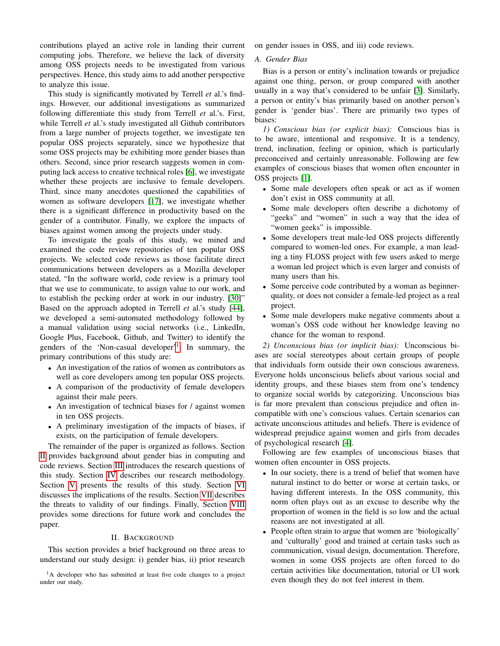contributions played an active role in landing their current computing jobs. Therefore, we believe the lack of diversity among OSS projects needs to be investigated from various perspectives. Hence, this study aims to add another perspective to analyze this issue.

This study is significantly motivated by Terrell *et* al.'s findings. However, our additional investigations as summarized following differentiate this study from Terrell *et* al.'s. First, while Terrell *et* al.'s study investigated all Github contributors from a large number of projects together, we investigate ten popular OSS projects separately, since we hypothesize that some OSS projects may be exhibiting more gender biases than others. Second, since prior research suggests women in computing lack access to creative technical roles [\[6\]](#page-10-15), we investigate whether these projects are inclusive to female developers. Third, since many anecdotes questioned the capabilities of women as software developers [\[17\]](#page-10-16), we investigate whether there is a significant difference in productivity based on the gender of a contributor. Finally, we explore the impacts of biases against women among the projects under study.

To investigate the goals of this study, we mined and examined the code review repositories of ten popular OSS projects. We selected code reviews as those facilitate direct communications between developers as a Mozilla developer stated, "In the software world, code review is a primary tool that we use to communicate, to assign value to our work, and to establish the pecking order at work in our industry. [\[30\]](#page-10-17)" Based on the approach adopted in Terrell *et* al.'s study [\[44\]](#page-10-4), we developed a semi-automated methodology followed by a manual validation using social networks (i.e., LinkedIn, Google Plus, Facebook, Github, and Twitter) to identify the genders of the 'Non-casual developer'<sup>[1](#page-1-0)</sup>. In summary, the primary contributions of this study are:

- An investigation of the ratios of women as contributors as well as core developers among ten popular OSS projects.
- A comparison of the productivity of female developers against their male peers.
- An investigation of technical biases for / against women in ten OSS projects.
- A preliminary investigation of the impacts of biases, if exists, on the participation of female developers.

The remainder of the paper is organized as follows. Section [II](#page-1-1) provides background about gender bias in computing and code reviews. Section [III](#page-2-0) introduces the research questions of this study. Section [IV](#page-3-0) describes our research methodology. Section [V](#page-5-0) presents the results of this study. Section [VI](#page-7-0) discusses the implications of the results. Section [VII](#page-9-0) describes the threats to validity of our findings. Finally, Section [VIII](#page-9-1) provides some directions for future work and concludes the paper.

#### II. BACKGROUND

<span id="page-1-1"></span>This section provides a brief background on three areas to understand our study design: i) gender bias, ii) prior research on gender issues in OSS, and iii) code reviews.

*A. Gender Bias*

Bias is a person or entity's inclination towards or prejudice against one thing, person, or group compared with another usually in a way that's considered to be unfair [\[3\]](#page-10-18). Similarly, a person or entity's bias primarily based on another person's gender is 'gender bias'. There are primarily two types of biases:

*1) Conscious bias (or explicit bias):* Conscious bias is to be aware, intentional and responsive. It is a tendency, trend, inclination, feeling or opinion, which is particularly preconceived and certainly unreasonable. Following are few examples of conscious biases that women often encounter in OSS projects [\[1\]](#page-10-19).

- Some male developers often speak or act as if women don't exist in OSS community at all.
- Some male developers often describe a dichotomy of "geeks" and "women" in such a way that the idea of "women geeks" is impossible.
- Some developers treat male-led OSS projects differently compared to women-led ones. For example, a man leading a tiny FLOSS project with few users asked to merge a woman led project which is even larger and consists of many users than his.
- Some perceive code contributed by a woman as beginnerquality, or does not consider a female-led project as a real project.
- Some male developers make negative comments about a woman's OSS code without her knowledge leaving no chance for the woman to respond.

*2) Unconscious bias (or implicit bias):* Unconscious biases are social stereotypes about certain groups of people that individuals form outside their own conscious awareness. Everyone holds unconscious beliefs about various social and identity groups, and these biases stem from one's tendency to organize social worlds by categorizing. Unconscious bias is far more prevalent than conscious prejudice and often incompatible with one's conscious values. Certain scenarios can activate unconscious attitudes and beliefs. There is evidence of widespread prejudice against women and girls from decades of psychological research [\[4\]](#page-10-20).

Following are few examples of unconscious biases that women often encounter in OSS projects.

- In our society, there is a trend of belief that women have natural instinct to do better or worse at certain tasks, or having different interests. In the OSS community, this norm often plays out as an excuse to describe why the proportion of women in the field is so low and the actual reasons are not investigated at all.
- People often strain to argue that women are 'biologically' and 'culturally' good and trained at certain tasks such as communication, visual design, documentation. Therefore, women in some OSS projects are often forced to do certain activities like documentation, tutorial or UI work even though they do not feel interest in them.

<span id="page-1-0"></span><sup>&</sup>lt;sup>1</sup>A developer who has submitted at least five code changes to a project under our study.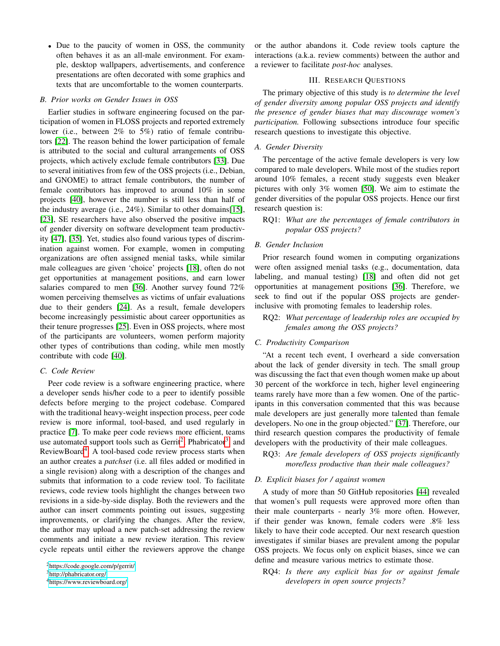• Due to the paucity of women in OSS, the community often behaves it as an all-male environment. For example, desktop wallpapers, advertisements, and conference presentations are often decorated with some graphics and texts that are uncomfortable to the women counterparts.

# *B. Prior works on Gender Issues in OSS*

Earlier studies in software engineering focused on the participation of women in FLOSS projects and reported extremely lower (i.e., between  $2\%$  to  $5\%$ ) ratio of female contributors [\[22\]](#page-10-21). The reason behind the lower participation of female is attributed to the social and cultural arrangements of OSS projects, which actively exclude female contributors [\[33\]](#page-10-10). Due to several initiatives from few of the OSS projects (i.e., Debian, and GNOME) to attract female contributors, the number of female contributors has improved to around 10% in some projects [\[40\]](#page-10-22), however the number is still less than half of the industry average (i.e., 24%). Similar to other domains[\[15\]](#page-10-23), [\[23\]](#page-10-24), SE researchers have also observed the positive impacts of gender diversity on software development team productivity [\[47\]](#page-10-6), [\[35\]](#page-10-7). Yet, studies also found various types of discrimination against women. For example, women in computing organizations are often assigned menial tasks, while similar male colleagues are given 'choice' projects [\[18\]](#page-10-25), often do not get opportunities at management positions, and earn lower salaries compared to men [\[36\]](#page-10-26). Another survey found 72% women perceiving themselves as victims of unfair evaluations due to their genders [\[24\]](#page-10-27). As a result, female developers become increasingly pessimistic about career opportunities as their tenure progresses [\[25\]](#page-10-28). Even in OSS projects, where most of the participants are volunteers, women perform majority other types of contributions than coding, while men mostly contribute with code [\[40\]](#page-10-22).

### *C. Code Review*

Peer code review is a software engineering practice, where a developer sends his/her code to a peer to identify possible defects before merging to the project codebase. Compared with the traditional heavy-weight inspection process, peer code review is more informal, tool-based, and used regularly in practice [\[7\]](#page-10-29). To make peer code reviews more efficient, teams use automated support tools such as Gerrit<sup>[2](#page-2-1)</sup>, Phabricator<sup>[3](#page-2-2)</sup>, and ReviewBoard<sup>[4](#page-2-3)</sup>. A tool-based code review process starts when an author creates a *patchset* (i.e. all files added or modified in a single revision) along with a description of the changes and submits that information to a code review tool. To facilitate reviews, code review tools highlight the changes between two revisions in a side-by-side display. Both the reviewers and the author can insert comments pointing out issues, suggesting improvements, or clarifying the changes. After the review, the author may upload a new patch-set addressing the review comments and initiate a new review iteration. This review cycle repeats until either the reviewers approve the change or the author abandons it. Code review tools capture the interactions (a.k.a. review comments) between the author and a reviewer to facilitate *post-hoc* analyses.

# III. RESEARCH QUESTIONS

<span id="page-2-0"></span>The primary objective of this study is *to determine the level of gender diversity among popular OSS projects and identify the presence of gender biases that may discourage women's participation.* Following subsections introduce four specific research questions to investigate this objective.

# *A. Gender Diversity*

The percentage of the active female developers is very low compared to male developers. While most of the studies report around 10% females, a recent study suggests even bleaker pictures with only 3% women [\[50\]](#page-11-1). We aim to estimate the gender diversities of the popular OSS projects. Hence our first research question is:

RQ1: *What are the percentages of female contributors in popular OSS projects?*

#### *B. Gender Inclusion*

Prior research found women in computing organizations were often assigned menial tasks (e.g., documentation, data labeling, and manual testing) [\[18\]](#page-10-25) and often did not get opportunities at management positions [\[36\]](#page-10-26). Therefore, we seek to find out if the popular OSS projects are genderinclusive with promoting females to leadership roles.

RQ2: *What percentage of leadership roles are occupied by females among the OSS projects?*

# *C. Productivity Comparison*

"At a recent tech event, I overheard a side conversation about the lack of gender diversity in tech. The small group was discussing the fact that even though women make up about 30 percent of the workforce in tech, higher level engineering teams rarely have more than a few women. One of the participants in this conversation commented that this was because male developers are just generally more talented than female developers. No one in the group objected." [\[37\]](#page-10-8). Therefore, our third research question compares the productivity of female developers with the productivity of their male colleagues.

RQ3: *Are female developers of OSS projects significantly more/less productive than their male colleagues?*

# *D. Explicit biases for / against women*

A study of more than 50 GitHub repositories [\[44\]](#page-10-4) revealed that women's pull requests were approved more often than their male counterparts - nearly 3% more often. However, if their gender was known, female coders were .8% less likely to have their code accepted. Our next research question investigates if similar biases are prevalent among the popular OSS projects. We focus only on explicit biases, since we can define and measure various metrics to estimate those.

RQ4: *Is there any explicit bias for or against female developers in open source projects?*

<span id="page-2-1"></span><sup>2</sup><https://code.google.com/p/gerrit/>

<span id="page-2-2"></span><sup>3</sup><http://phabricator.org/>

<span id="page-2-3"></span><sup>4</sup><https://www.reviewboard.org/>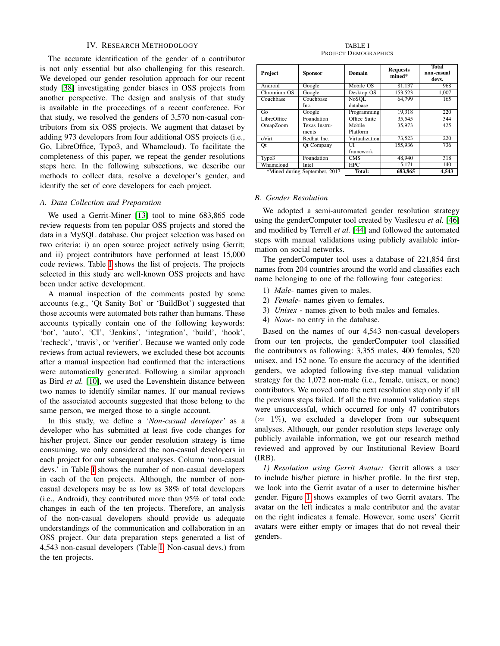#### IV. RESEARCH METHODOLOGY

<span id="page-3-0"></span>The accurate identification of the gender of a contributor is not only essential but also challenging for this research. We developed our gender resolution approach for our recent study [\[38\]](#page-10-30) investigating gender biases in OSS projects from another perspective. The design and analysis of that study is available in the proceedings of a recent conference. For that study, we resolved the genders of 3,570 non-casual contributors from six OSS projects. We augment that dataset by adding 973 developers from four additional OSS projects (i.e., Go, LibreOffice, Typo3, and Whamcloud). To facilitate the completeness of this paper, we repeat the gender resolutions steps here. In the following subsections, we describe our methods to collect data, resolve a developer's gender, and identify the set of core developers for each project.

# *A. Data Collection and Preparation*

We used a Gerrit-Miner [\[13\]](#page-10-31) tool to mine 683,865 code review requests from ten popular OSS projects and stored the data in a MySQL database. Our project selection was based on two criteria: i) an open source project actively using Gerrit; and ii) project contributors have performed at least 15,000 code reviews. Table [I](#page-3-1) shows the list of projects. The projects selected in this study are well-known OSS projects and have been under active development.

A manual inspection of the comments posted by some accounts (e.g., 'Qt Sanity Bot' or 'BuildBot') suggested that those accounts were automated bots rather than humans. These accounts typically contain one of the following keywords: 'bot', 'auto', 'CI', 'Jenkins', 'integration', 'build', 'hook', 'recheck', 'travis', or 'verifier'. Because we wanted only code reviews from actual reviewers, we excluded these bot accounts after a manual inspection had confirmed that the interactions were automatically generated. Following a similar approach as Bird *et al.* [\[10\]](#page-10-32), we used the Levenshtein distance between two names to identify similar names. If our manual reviews of the associated accounts suggested that those belong to the same person, we merged those to a single account.

In this study, we define a *'Non-casual developer'* as a developer who has submitted at least five code changes for his/her project. Since our gender resolution strategy is time consuming, we only considered the non-casual developers in each project for our subsequent analyses. Column 'non-casual devs.' in Table [I](#page-3-1) shows the number of non-casual developers in each of the ten projects. Although, the number of noncasual developers may be as low as 38% of total developers (i.e., Android), they contributed more than 95% of total code changes in each of the ten projects. Therefore, an analysis of the non-casual developers should provide us adequate understandings of the communication and collaboration in an OSS project. Our data preparation steps generated a list of 4,543 non-casual developers (Table [I:](#page-3-1) Non-casual devs.) from the ten projects.

TABLE I PROJECT DEMOGRAPHICS

<span id="page-3-1"></span>

| Project                       | <b>Sponsor</b>         | Domain             | <b>Requests</b><br>mined* | Total<br>non-casual<br>devs. |
|-------------------------------|------------------------|--------------------|---------------------------|------------------------------|
| Android                       | Google                 | Mobile OS          | 81,137                    | 968                          |
| Chromium OS                   | Google                 | Desktop OS         | 153,523                   | 1.007                        |
| Couchbase                     | Couchbase<br>Inc.      | NoSOL<br>database  | 64.799                    | 165                          |
| Go                            | Google                 | Programming        | 19,318                    | 220                          |
| LibreOffice                   | Foundation             | Office Suite       | 35,545                    | 344                          |
| OmapZoom                      | Texas Instru-<br>ments | Mobile<br>Platform | 35,973                    | 425                          |
| oVirt                         | Redhat Inc.            | Virtualization     | 73,523                    | 220                          |
| Qt                            | Ot Company             | UІ<br>framework    | 155,936                   | 736                          |
| Typo3                         | Foundation             | <b>CMS</b>         | 48.940                    | 318                          |
| Whamcloud                     | Intel                  | <b>HPC</b>         | 15.171                    | 140                          |
| *Mined during September, 2017 |                        | <b>Total:</b>      | 683,865                   | 4.543                        |

# *B. Gender Resolution*

We adopted a semi-automated gender resolution strategy using the genderComputer tool created by Vasilescu *et al.* [\[46\]](#page-10-33) and modified by Terrell *et al.* [\[44\]](#page-10-4) and followed the automated steps with manual validations using publicly available information on social networks.

The genderComputer tool uses a database of 221,854 first names from 204 countries around the world and classifies each name belonging to one of the following four categories:

- 1) *Male* names given to males.
- 2) *Female* names given to females.
- 3) *Unisex* names given to both males and females.
- 4) *None* no entry in the database.

Based on the names of our 4,543 non-casual developers from our ten projects, the genderComputer tool classified the contributors as following: 3,355 males, 400 females, 520 unisex, and 152 none. To ensure the accuracy of the identified genders, we adopted following five-step manual validation strategy for the 1,072 non-male (i.e., female, unisex, or none) contributors. We moved onto the next resolution step only if all the previous steps failed. If all the five manual validation steps were unsuccessful, which occurred for only 47 contributors  $(\approx 1\%)$ , we excluded a developer from our subsequent analyses. Although, our gender resolution steps leverage only publicly available information, we got our research method reviewed and approved by our Institutional Review Board (IRB).

*1) Resolution using Gerrit Avatar:* Gerrit allows a user to include his/her picture in his/her profile. In the first step, we look into the Gerrit avatar of a user to determine his/her gender. Figure [1](#page-4-0) shows examples of two Gerrit avatars. The avatar on the left indicates a male contributor and the avatar on the right indicates a female. However, some users' Gerrit avatars were either empty or images that do not reveal their genders.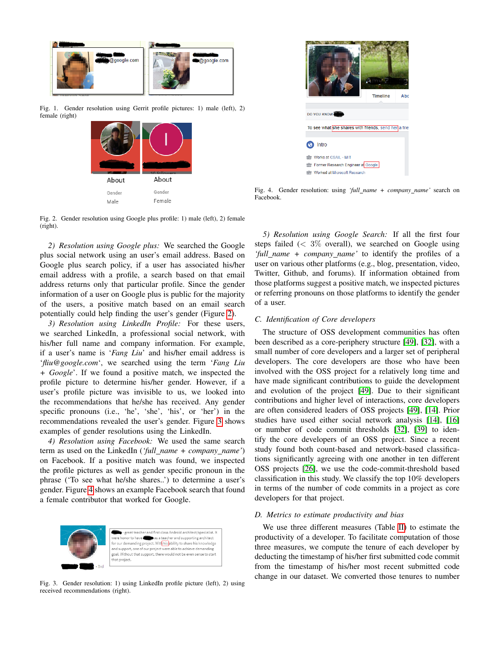

<span id="page-4-0"></span>Fig. 1. Gender resolution using Gerrit profile pictures: 1) male (left), 2) female (right)



<span id="page-4-1"></span>Fig. 2. Gender resolution using Google plus profile: 1) male (left), 2) female (right).

*2) Resolution using Google plus:* We searched the Google plus social network using an user's email address. Based on Google plus search policy, if a user has associated his/her email address with a profile, a search based on that email address returns only that particular profile. Since the gender information of a user on Google plus is public for the majority of the users, a positive match based on an email search potentially could help finding the user's gender (Figure [2\)](#page-4-1).

*3) Resolution using LinkedIn Profile:* For these users, we searched LinkedIn, a professional social network, with his/her full name and company information. For example, if a user's name is '*Fang Liu*' and his/her email address is '*fliu@google.com*', we searched using the term '*Fang Liu + Google*'. If we found a positive match, we inspected the profile picture to determine his/her gender. However, if a user's profile picture was invisible to us, we looked into the recommendations that he/she has received. Any gender specific pronouns (i.e., 'he', 'she', 'his', or 'her') in the recommendations revealed the user's gender. Figure [3](#page-4-2) shows examples of gender resolutions using the LinkedIn.

*4) Resolution using Facebook:* We used the same search term as used on the LinkedIn (*'full name + company name'*) on Facebook. If a positive match was found, we inspected the profile pictures as well as gender specific pronoun in the phrase ('To see what he/she shares..') to determine a user's gender. Figure [4](#page-4-3) shows an example Facebook search that found a female contributor that worked for Google.

<span id="page-4-2"></span>

Fig. 3. Gender resolution: 1) using LinkedIn profile picture (left), 2) using received recommendations (right).



Fig. 4. Gender resolution: using *'full name + company name'* search on Facebook.

<span id="page-4-3"></span>*5) Resolution using Google Search:* If all the first four steps failed  $\langle \langle 3\% \rangle$  overall), we searched on Google using *'full name + company name'* to identify the profiles of a user on various other platforms (e.g., blog, presentation, video, Twitter, Github, and forums). If information obtained from those platforms suggest a positive match, we inspected pictures or referring pronouns on those platforms to identify the gender of a user.

### <span id="page-4-4"></span>*C. Identification of Core developers*

The structure of OSS development communities has often been described as a core-periphery structure [\[49\]](#page-11-2), [\[32\]](#page-10-34), with a small number of core developers and a larger set of peripheral developers. The core developers are those who have been involved with the OSS project for a relatively long time and have made significant contributions to guide the development and evolution of the project [\[49\]](#page-11-2). Due to their significant contributions and higher level of interactions, core developers are often considered leaders of OSS projects [\[49\]](#page-11-2), [\[14\]](#page-10-35). Prior studies have used either social network analysis [\[14\]](#page-10-35), [\[16\]](#page-10-36) or number of code commit thresholds [\[32\]](#page-10-34), [\[39\]](#page-10-37) to identify the core developers of an OSS project. Since a recent study found both count-based and network-based classifications significantly agreeing with one another in ten different OSS projects [\[26\]](#page-10-38), we use the code-commit-threshold based classification in this study. We classify the top 10% developers in terms of the number of code commits in a project as core developers for that project.

#### *D. Metrics to estimate productivity and bias*

We use three different measures (Table [II\)](#page-5-1) to estimate the productivity of a developer. To facilitate computation of those three measures, we compute the tenure of each developer by deducting the timestamp of his/her first submitted code commit from the timestamp of his/her most recent submitted code change in our dataset. We converted those tenures to number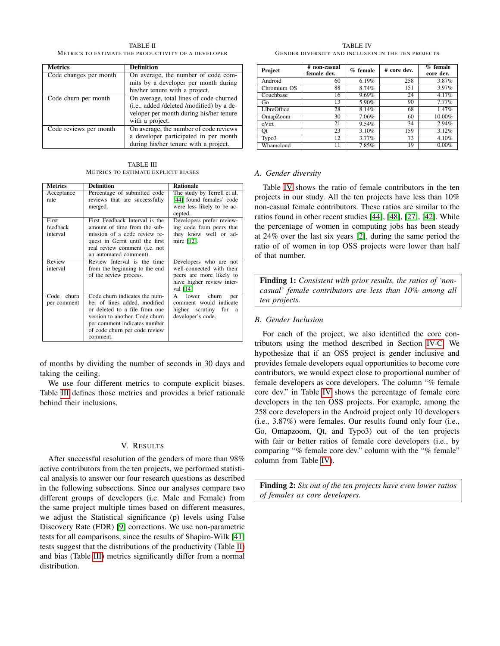TABLE II METRICS TO ESTIMATE THE PRODUCTIVITY OF A DEVELOPER

<span id="page-5-1"></span>

| <b>Metrics</b>         | <b>Definition</b>                         |
|------------------------|-------------------------------------------|
|                        |                                           |
| Code changes per month | On average, the number of code com-       |
|                        | mits by a developer per month during      |
|                        | his/her tenure with a project.            |
| Code churn per month   | On average, total lines of code churned   |
|                        | (i.e., added /deleted /modified) by a de- |
|                        | veloper per month during his/her tenure   |
|                        | with a project.                           |
| Code reviews per month | On average, the number of code reviews    |
|                        | a developer participated in per month     |
|                        | during his/her tenure with a project.     |

TABLE III METRICS TO ESTIMATE EXPLICIT BIASES

<span id="page-5-2"></span>

| <b>Metrics</b> | <b>Definition</b>                     | <b>Rationale</b>                      |
|----------------|---------------------------------------|---------------------------------------|
| Acceptance     | Percentage of submitted code          | The study by Terrell et al.           |
| rate           | reviews that are successfully         | [44] found females' code              |
|                | merged.                               | were less likely to be ac-<br>cepted. |
| First          | First Feedback Interval is the        | Developers prefer review-             |
| feedback       | amount of time from the sub-          | ing code from peers that              |
| interval       | mission of a code review re-          | they know well or ad-                 |
|                | quest in Gerrit until the first       | mire $[12]$ .                         |
|                | real review comment ( <i>i.e.</i> not |                                       |
|                | an automated comment).                |                                       |
| Review         | Review Interval is the time           | Developers who are not                |
| interval       | from the beginning to the end         | well-connected with their             |
|                | of the review process.                | peers are more likely to              |
|                |                                       | have higher review inter-             |
|                |                                       | val [14]                              |
| Code<br>churn  | Code churn indicates the num-         | churn<br>A lower<br>per               |
| per comment    | ber of lines added, modified          | comment would indicate                |
|                | or deleted to a file from one         | higher scrutiny for a                 |
|                | version to another. Code churn        | developer's code.                     |
|                | per comment indicates number          |                                       |
|                | of code churn per code review         |                                       |
|                | comment.                              |                                       |

of months by dividing the number of seconds in 30 days and taking the ceiling.

We use four different metrics to compute explicit biases. Table [III](#page-5-2) defines those metrics and provides a brief rationale behind their inclusions.

# V. RESULTS

<span id="page-5-0"></span>After successful resolution of the genders of more than 98% active contributors from the ten projects, we performed statistical analysis to answer our four research questions as described in the following subsections. Since our analyses compare two different groups of developers (i.e. Male and Female) from the same project multiple times based on different measures, we adjust the Statistical significance (p) levels using False Discovery Rate (FDR) [\[9\]](#page-10-40) corrections. We use non-parametric tests for all comparisons, since the results of Shapiro-Wilk [\[41\]](#page-10-41) tests suggest that the distributions of the productivity (Table [II\)](#page-5-1) and bias (Table [III\)](#page-5-2) metrics significantly differ from a normal distribution.

TABLE IV GENDER DIVERSITY AND INCLUSION IN THE TEN PROJECTS

<span id="page-5-3"></span>

| Project         | # non-casual<br>female dev. | $%$ female | # core dev. | $%$ female<br>core dev. |  |  |
|-----------------|-----------------------------|------------|-------------|-------------------------|--|--|
| Android         | 60                          | 6.19%      | 258         | 3.87%                   |  |  |
| Chromium OS     | 88                          | 8.74%      | 151         | 3.97%                   |  |  |
| Couchbase       | 16                          | 9.69%      | 24          | 4.17%                   |  |  |
| Go              | 13                          | 5.90%      | 90          | $7.77\%$                |  |  |
| LibreOffice     | 28                          | 8.14%      | 68          | 1.47%                   |  |  |
| <b>OmapZoom</b> | 30                          | 7.06%      | 60          | 10.00%                  |  |  |
| oVirt           | 21                          | 9.54%      | 34          | 2.94%                   |  |  |
| Ot              | 23                          | 3.10%      | 159         | 3.12%                   |  |  |
| Typo3           | 12                          | $3.77\%$   | 73          | 4.10%                   |  |  |
| Whamcloud       | 11                          | 7.85%      | 19          | $0.00\%$                |  |  |

#### *A. Gender diversity*

Table [IV](#page-5-3) shows the ratio of female contributors in the ten projects in our study. All the ten projects have less than 10% non-casual female contributors. These ratios are similar to the ratios found in other recent studies [\[44\]](#page-10-4), [\[48\]](#page-11-0), [\[27\]](#page-10-5), [\[42\]](#page-10-2). While the percentage of women in computing jobs has been steady at 24% over the last six years [\[2\]](#page-10-1), during the same period the ratio of of women in top OSS projects were lower than half of that number.

Finding 1: *Consistent with prior results, the ratios of 'noncasual' female contributors are less than 10% among all ten projects.*

# *B. Gender Inclusion*

For each of the project, we also identified the core contributors using the method described in Section [IV-C.](#page-4-4) We hypothesize that if an OSS project is gender inclusive and provides female developers equal opportunities to become core contributors, we would expect close to proportional number of female developers as core developers. The column "% female core dev." in Table [IV](#page-5-3) shows the percentage of female core developers in the ten OSS projects. For example, among the 258 core developers in the Android project only 10 developers (i.e., 3.87%) were females. Our results found only four (i.e., Go, Omapzoom, Qt, and Typo3) out of the ten projects with fair or better ratios of female core developers (i.e., by comparing "% female core dev." column with the "% female" column from Table [IV\)](#page-5-3).

Finding 2: *Six out of the ten projects have even lower ratios of females as core developers.*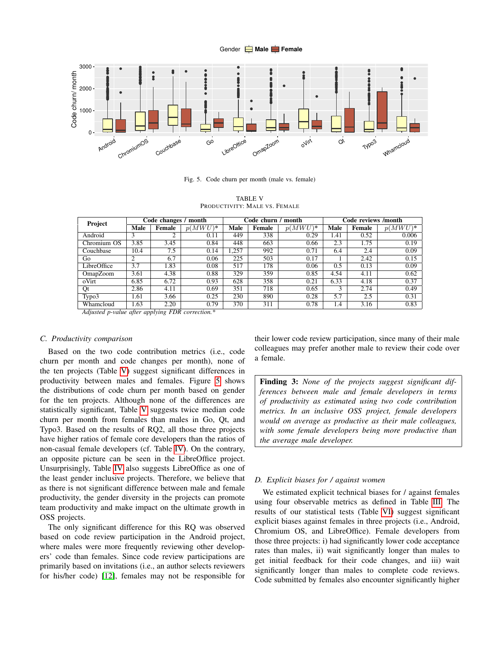Gender **Male Female**



Fig. 5. Code churn per month (male vs. female)

<span id="page-6-1"></span>TABLE V PRODUCTIVITY: MALE VS. FEMALE

<span id="page-6-0"></span>

| Project               |                       | Code changes / month                   |                           |       | Code churn / | month      | Code reviews /month |        |            |  |
|-----------------------|-----------------------|----------------------------------------|---------------------------|-------|--------------|------------|---------------------|--------|------------|--|
|                       | Male                  | Female                                 | $p(MWU)^*$                | Male  | Female       | $p(MWU)^*$ | Male                | Female | $p(MWU)^*$ |  |
| Android               | 3                     |                                        | 0.11                      | 449   | 338          | 0.29       | 1.41                | 0.52   | 0.006      |  |
| Chromium OS           | 3.85                  | 3.45                                   | 0.84                      | 448   | 663          | 0.66       | 2.3                 | 1.75   | 0.19       |  |
| Couchbase             | 10.4                  | 7.5                                    | 0.14                      | 1.257 | 992          | 0.71       | 6.4                 | 2.4    | 0.09       |  |
| Go                    | 2                     | 6.7                                    | 0.06                      | 225   | 503          | 0.17       |                     | 2.42   | 0.15       |  |
| LibreOffice           | 3.7                   | 1.83                                   | 0.08                      | 517   | 178          | 0.06       | 0.5                 | 0.13   | 0.09       |  |
| OmapZoom              | 3.61                  | 4.38                                   | 0.88                      | 329   | 359          | 0.85       | 4.54                | 4.11   | 0.62       |  |
| oVirt                 | 6.85                  | 6.72                                   | 0.93                      | 628   | 358          | 0.21       | 6.33                | 4.18   | 0.37       |  |
| Qt                    | 2.86                  | 4.11                                   | 0.69                      | 351   | 718          | 0.65       |                     | 2.74   | 0.49       |  |
| Typo3                 | 1.61                  | 3.66                                   | 0.25                      | 230   | 890          | 0.28       | 5.7                 | 2.5    | 0.31       |  |
| Whamcloud<br>$\cdots$ | 1.63<br>$\mathcal{L}$ | 2.20<br>$\mathbf{r}$ .<br>$\mathbf{m}$ | 0.79<br>$\cdot$ .<br>$-1$ | 370   | 311          | 0.78       | 1.4                 | 3.16   | 0.83       |  |

*Adjusted p-value after applying FDR correction.\**

#### *C. Productivity comparison*

Based on the two code contribution metrics (i.e., code churn per month and code changes per month), none of the ten projects (Table [V\)](#page-6-0) suggest significant differences in productivity between males and females. Figure [5](#page-6-1) shows the distributions of code churn per month based on gender for the ten projects. Although none of the differences are statistically significant, Table [V](#page-6-0) suggests twice median code churn per month from females than males in Go, Qt, and Typo3. Based on the results of RQ2, all those three projects have higher ratios of female core developers than the ratios of non-casual female developers (cf. Table [IV\)](#page-5-3). On the contrary, an opposite picture can be seen in the LibreOffice project. Unsurprisingly, Table [IV](#page-5-3) also suggests LibreOffice as one of the least gender inclusive projects. Therefore, we believe that as there is not significant difference between male and female productivity, the gender diversity in the projects can promote team productivity and make impact on the ultimate growth in OSS projects.

The only significant difference for this RQ was observed based on code review participation in the Android project, where males were more frequently reviewing other developers' code than females. Since code review participations are primarily based on invitations (i.e., an author selects reviewers for his/her code) [\[12\]](#page-10-39), females may not be responsible for their lower code review participation, since many of their male colleagues may prefer another male to review their code over a female.

Finding 3: *None of the projects suggest significant differences between male and female developers in terms of productivity as estimated using two code contribution metrics. In an inclusive OSS project, female developers would on average as productive as their male colleagues, with some female developers being more productive than the average male developer.*

# <span id="page-6-2"></span>*D. Explicit biases for / against women*

We estimated explicit technical biases for / against females using four observable metrics as defined in Table [III.](#page-5-2) The results of our statistical tests (Table [VI\)](#page-7-1) suggest significant explicit biases against females in three projects (i.e., Android, Chromium OS, and LibreOffice). Female developers from those three projects: i) had significantly lower code acceptance rates than males, ii) wait significantly longer than males to get initial feedback for their code changes, and iii) wait significantly longer than males to complete code reviews. Code submitted by females also encounter significantly higher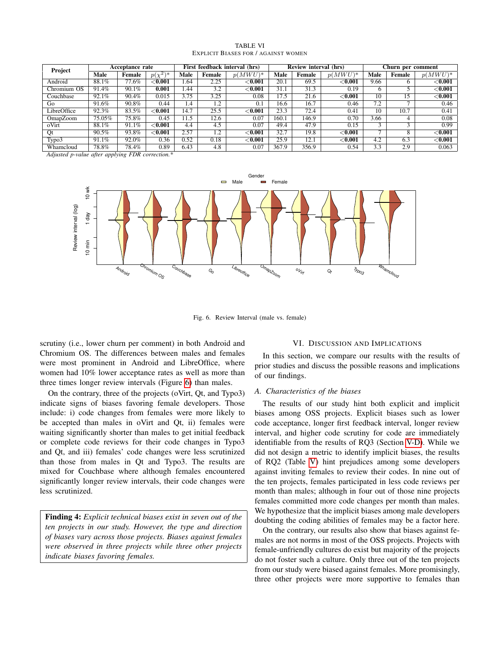| <b>TABLE VI</b>                     |  |  |  |  |  |  |  |  |
|-------------------------------------|--|--|--|--|--|--|--|--|
| EXPLICIT BIASES FOR / AGAINST WOMEN |  |  |  |  |  |  |  |  |

<span id="page-7-1"></span>

| Project               | Acceptance rate |                        |               | First feedback interval (hrs) |        |             | Review interval (hrs) |        |              | Churn per comment |              |                |
|-----------------------|-----------------|------------------------|---------------|-------------------------------|--------|-------------|-----------------------|--------|--------------|-------------------|--------------|----------------|
|                       | Male            | Female                 | $p(\chi^2)^*$ | Male                          | Female | $p(MWU)^*$  | Male                  | Female | $p(MWU)^*$   | Male              | Female       | $p(MWU)^*$     |
| Android               | 88.1%           | 77.6%                  | $<$ $0.001$   | .64                           | 2.25   | $<$ $0.001$ | 20.1                  | 69.5   | $<\!\!0.001$ | 9.66              | 6.           | $<$ $0.001$    |
| Chromium OS           | 91.4%           | 90.1%                  | 0.001         | l.44                          | 3.2    | $<$ $0.001$ | 31.1                  | 31.3   | 0.19         |                   |              | $<$ $0.001$    |
| Couchbase             | 92.1%           | 90.4%                  | 0.015         | 3.75                          | 3.25   | 0.08        | 17.5                  | 21.6   | $<\!\!0.001$ | 10                | 15           | $<$ 0.001 $\,$ |
| Go                    | 91.6%           | 90.8%                  | 0.44          | 1.4                           | 1.2    | 0.1         | 16.6                  | 16.7   | 0.46         | 7.2               |              | 0.46           |
| LibreOffice           | 92.3%           | 83.5%                  | $0.001$       | 14.7                          | 25.5   | $<$ $0.001$ | 23.3                  | 72.4   | 0.41         | 10                | 10.7         | 0.41           |
| OmapZoom              | 75.05%          | 75.8%                  | 0.45          | 11.5                          | 12.6   | 0.07        | 160.1                 | 146.9  | 0.70         | 3.66              | 4            | 0.08           |
| oVirt                 | 88.1%           | 91.1%                  | ${<}0.001$    | 4.4                           | 4.5    | 0.07        | 49.4                  | 47.9   | 0.15         |                   | $\mathbf{a}$ | 0.99           |
| Qt                    | 90.5%           | 93.8%                  | $<$ $0.001$   | 2.57                          | 1.2    | $<$ $0.001$ | 32.7                  | 19.8   | $<$ $0.001$  |                   | 8            | $<$ 0.001 $\,$ |
| Typo3                 | 91.1%           | 92.0%                  | 0.36          | 0.52                          | 0.18   | $<$ $0.001$ | 25.9                  | 12.1   | $<$ $0.001$  | 4.2               | 6.3          | $<$ $0.001$    |
| Whamcloud<br>$\cdots$ | 78.8%           | 78.4%<br>$\sim$ $\sim$ | 0.89          | 6.43                          | 4.8    | 0.07        | 367.9                 | 356.9  | 0.54         | 3.3               | 2.9          | 0.063          |

*Adjusted p-value after applying FDR correction.\**



<span id="page-7-2"></span>Fig. 6. Review Interval (male vs. female)

scrutiny (i.e., lower churn per comment) in both Android and Chromium OS. The differences between males and females were most prominent in Android and LibreOffice, where women had 10% lower acceptance rates as well as more than three times longer review intervals (Figure [6\)](#page-7-2) than males.

On the contrary, three of the projects (oVirt, Qt, and Typo3) indicate signs of biases favoring female developers. Those include: i) code changes from females were more likely to be accepted than males in oVirt and Qt, ii) females were waiting significantly shorter than males to get initial feedback or complete code reviews for their code changes in Typo3 and Qt, and iii) females' code changes were less scrutinized than those from males in Qt and Typo3. The results are mixed for Couchbase where although females encountered significantly longer review intervals, their code changes were less scrutinized.

Finding 4: *Explicit technical biases exist in seven out of the ten projects in our study. However, the type and direction of biases vary across those projects. Biases against females were observed in three projects while three other projects indicate biases favoring females.*

#### VI. DISCUSSION AND IMPLICATIONS

<span id="page-7-0"></span>In this section, we compare our results with the results of prior studies and discuss the possible reasons and implications of our findings.

#### *A. Characteristics of the biases*

The results of our study hint both explicit and implicit biases among OSS projects. Explicit biases such as lower code acceptance, longer first feedback interval, longer review interval, and higher code scrutiny for code are immediately identifiable from the results of RQ3 (Section [V-D\)](#page-6-2). While we did not design a metric to identify implicit biases, the results of RQ2 (Table [V\)](#page-6-0) hint prejudices among some developers against inviting females to review their codes. In nine out of the ten projects, females participated in less code reviews per month than males; although in four out of those nine projects females committed more code changes per month than males. We hypothesize that the implicit biases among male developers doubting the coding abilities of females may be a factor here.

On the contrary, our results also show that biases against females are not norms in most of the OSS projects. Projects with female-unfriendly cultures do exist but majority of the projects do not foster such a culture. Only three out of the ten projects from our study were biased against females. More promisingly, three other projects were more supportive to females than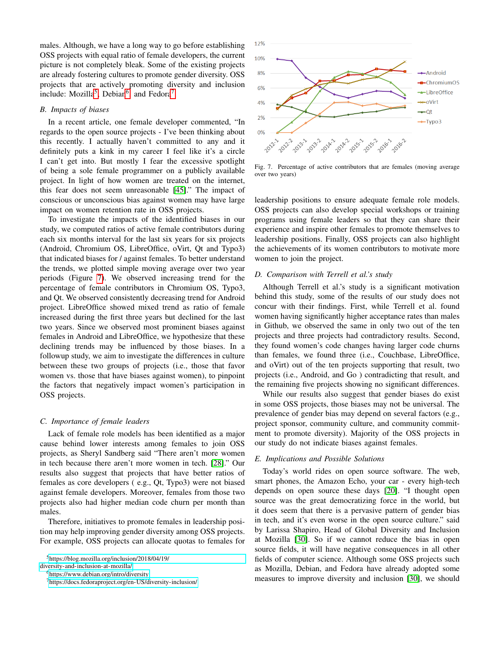males. Although, we have a long way to go before establishing OSS projects with equal ratio of female developers, the current picture is not completely bleak. Some of the existing projects are already fostering cultures to promote gender diversity. OSS projects that are actively promoting diversity and inclusion include: Mozilla<sup>[5](#page-8-0)</sup>, Debian<sup>[6](#page-8-1)</sup>, and Fedora<sup>[7](#page-8-2)</sup>.

# *B. Impacts of biases*

In a recent article, one female developer commented, "In regards to the open source projects - I've been thinking about this recently. I actually haven't committed to any and it definitely puts a kink in my career I feel like it's a circle I can't get into. But mostly I fear the excessive spotlight of being a sole female programmer on a publicly available project. In light of how women are treated on the internet, this fear does not seem unreasonable [\[45\]](#page-10-42)." The impact of conscious or unconscious bias against women may have large impact on women retention rate in OSS projects.

To investigate the impacts of the identified biases in our study, we computed ratios of active female contributors during each six months interval for the last six years for six projects (Android, Chromium OS, LibreOffice, oVirt, Qt and Typo3) that indicated biases for / against females. To better understand the trends, we plotted simple moving average over two year periods (Figure [7\)](#page-8-3). We observed increasing trend for the percentage of female contributors in Chromium OS, Typo3, and Qt. We observed consistently decreasing trend for Android project. LibreOffice showed mixed trend as ratio of female increased during the first three years but declined for the last two years. Since we observed most prominent biases against females in Android and LibreOffice, we hypothesize that these declining trends may be influenced by those biases. In a followup study, we aim to investigate the differences in culture between these two groups of projects (i.e., those that favor women vs. those that have biases against women), to pinpoint the factors that negatively impact women's participation in OSS projects.

### *C. Importance of female leaders*

Lack of female role models has been identified as a major cause behind lower interests among females to join OSS projects, as Sheryl Sandberg said "There aren't more women in tech because there aren't more women in tech. [\[28\]](#page-10-43)." Our results also suggest that projects that have better ratios of females as core developers ( e.g., Qt, Typo3) were not biased against female developers. Moreover, females from those two projects also had higher median code churn per month than males.

Therefore, initiatives to promote females in leadership position may help improving gender diversity among OSS projects. For example, OSS projects can allocate quotas to females for

[diversity-and-inclusion-at-mozilla/](https://blog.mozilla.org/inclusion/2018/04/19/diversity-and-inclusion-at-mozilla/)

<span id="page-8-1"></span><sup>6</sup><https://www.debian.org/intro/diversity>



<span id="page-8-3"></span>Fig. 7. Percentage of active contributors that are females (moving average over two years)

leadership positions to ensure adequate female role models. OSS projects can also develop special workshops or training programs using female leaders so that they can share their experience and inspire other females to promote themselves to leadership positions. Finally, OSS projects can also highlight the achievements of its women contributors to motivate more women to join the project.

# *D. Comparison with Terrell et al.'s study*

Although Terrell et al.'s study is a significant motivation behind this study, some of the results of our study does not concur with their findings. First, while Terrell et al. found women having significantly higher acceptance rates than males in Github, we observed the same in only two out of the ten projects and three projects had contradictory results. Second, they found women's code changes having larger code churns than females, we found three (i.e., Couchbase, LibreOffice, and oVirt) out of the ten projects supporting that result, two projects (i.e., Android, and Go ) contradicting that result, and the remaining five projects showing no significant differences.

While our results also suggest that gender biases do exist in some OSS projects, those biases may not be universal. The prevalence of gender bias may depend on several factors (e.g., project sponsor, community culture, and community commitment to promote diversity). Majority of the OSS projects in our study do not indicate biases against females.

# *E. Implications and Possible Solutions*

Today's world rides on open source software. The web, smart phones, the Amazon Echo, your car - every high-tech depends on open source these days [\[20\]](#page-10-9). "I thought open source was the great democratizing force in the world, but it does seem that there is a pervasive pattern of gender bias in tech, and it's even worse in the open source culture." said by Larissa Shapiro, Head of Global Diversity and Inclusion at Mozilla [\[30\]](#page-10-17). So if we cannot reduce the bias in open source fields, it will have negative consequences in all other fields of computer science. Although some OSS projects such as Mozilla, Debian, and Fedora have already adopted some measures to improve diversity and inclusion [\[30\]](#page-10-17), we should

<span id="page-8-0"></span><sup>5</sup>[https://blog.mozilla.org/inclusion/2018/04/19/](https://blog.mozilla.org/inclusion/2018/04/19/diversity-and-inclusion-at-mozilla/)

<span id="page-8-2"></span><sup>7</sup><https://docs.fedoraproject.org/en-US/diversity-inclusion/>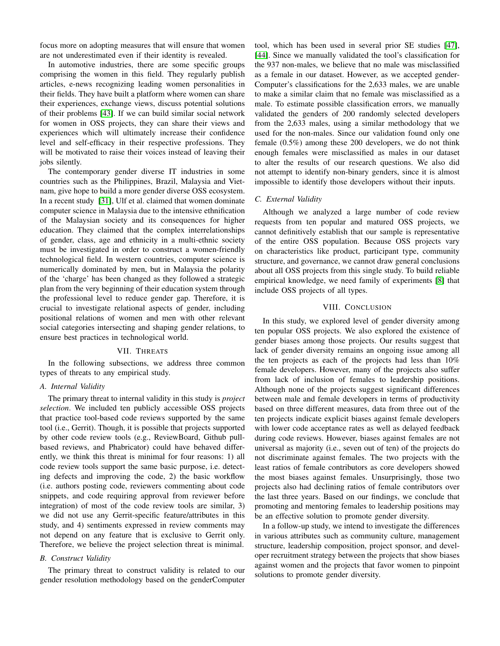focus more on adopting measures that will ensure that women are not underestimated even if their identity is revealed.

In automotive industries, there are some specific groups comprising the women in this field. They regularly publish articles, e-news recognizing leading women personalities in their fields. They have built a platform where women can share their experiences, exchange views, discuss potential solutions of their problems [\[43\]](#page-10-44). If we can build similar social network for women in OSS projects, they can share their views and experiences which will ultimately increase their confidence level and self-efficacy in their respective professions. They will be motivated to raise their voices instead of leaving their jobs silently.

The contemporary gender diverse IT industries in some countries such as the Philippines, Brazil, Malaysia and Vietnam, give hope to build a more gender diverse OSS ecosystem. In a recent study [\[31\]](#page-10-45), Ulf et al. claimed that women dominate computer science in Malaysia due to the intensive ethnification of the Malaysian society and its consequences for higher education. They claimed that the complex interrelationships of gender, class, age and ethnicity in a multi-ethnic society must be investigated in order to construct a women-friendly technological field. In western countries, computer science is numerically dominated by men, but in Malaysia the polarity of the 'charge' has been changed as they followed a strategic plan from the very beginning of their education system through the professional level to reduce gender gap. Therefore, it is crucial to investigate relational aspects of gender, including positional relations of women and men with other relevant social categories intersecting and shaping gender relations, to ensure best practices in technological world.

#### VII. THREATS

<span id="page-9-0"></span>In the following subsections, we address three common types of threats to any empirical study.

# *A. Internal Validity*

The primary threat to internal validity in this study is *project selection*. We included ten publicly accessible OSS projects that practice tool-based code reviews supported by the same tool (i.e., Gerrit). Though, it is possible that projects supported by other code review tools (e.g., ReviewBoard, Github pullbased reviews, and Phabricator) could have behaved differently, we think this threat is minimal for four reasons: 1) all code review tools support the same basic purpose, i.e. detecting defects and improving the code, 2) the basic workflow (i.e. authors posting code, reviewers commenting about code snippets, and code requiring approval from reviewer before integration) of most of the code review tools are similar, 3) we did not use any Gerrit-specific feature/attributes in this study, and 4) sentiments expressed in review comments may not depend on any feature that is exclusive to Gerrit only. Therefore, we believe the project selection threat is minimal.

# *B. Construct Validity*

The primary threat to construct validity is related to our gender resolution methodology based on the genderComputer tool, which has been used in several prior SE studies [\[47\]](#page-10-6), [\[44\]](#page-10-4). Since we manually validated the tool's classification for the 937 non-males, we believe that no male was misclassified as a female in our dataset. However, as we accepted gender-Computer's classifications for the 2,633 males, we are unable to make a similar claim that no female was misclassified as a male. To estimate possible classification errors, we manually validated the genders of 200 randomly selected developers from the 2,633 males, using a similar methodology that we used for the non-males. Since our validation found only one female (0.5%) among these 200 developers, we do not think enough females were misclassified as males in our dataset to alter the results of our research questions. We also did not attempt to identify non-binary genders, since it is almost impossible to identify those developers without their inputs.

#### *C. External Validity*

Although we analyzed a large number of code review requests from ten popular and matured OSS projects, we cannot definitively establish that our sample is representative of the entire OSS population. Because OSS projects vary on characteristics like product, participant type, community structure, and governance, we cannot draw general conclusions about all OSS projects from this single study. To build reliable empirical knowledge, we need family of experiments [\[8\]](#page-10-46) that include OSS projects of all types.

#### VIII. CONCLUSION

<span id="page-9-1"></span>In this study, we explored level of gender diversity among ten popular OSS projects. We also explored the existence of gender biases among those projects. Our results suggest that lack of gender diversity remains an ongoing issue among all the ten projects as each of the projects had less than 10% female developers. However, many of the projects also suffer from lack of inclusion of females to leadership positions. Although none of the projects suggest significant differences between male and female developers in terms of productivity based on three different measures, data from three out of the ten projects indicate explicit biases against female developers with lower code acceptance rates as well as delayed feedback during code reviews. However, biases against females are not universal as majority (i.e., seven out of ten) of the projects do not discriminate against females. The two projects with the least ratios of female contributors as core developers showed the most biases against females. Unsurprisingly, those two projects also had declining ratios of female contributors over the last three years. Based on our findings, we conclude that promoting and mentoring females to leadership positions may be an effective solution to promote gender diversity.

In a follow-up study, we intend to investigate the differences in various attributes such as community culture, management structure, leadership composition, project sponsor, and developer recruitment strategy between the projects that show biases against women and the projects that favor women to pinpoint solutions to promote gender diversity.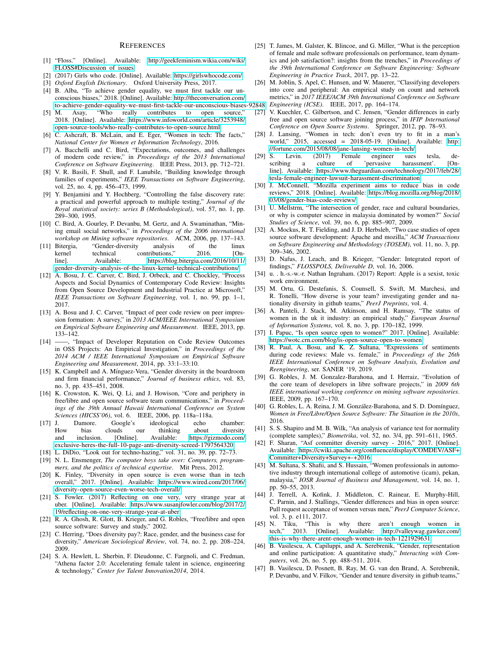#### **REFERENCES**

- <span id="page-10-19"></span>[1] "Floss." [Online]. Available: [http://geekfeminism.wikia.com/wiki/](http://geekfeminism.wikia.com/wiki/FLOSS#Discussion_of_issues) [FLOSS#Discussion](http://geekfeminism.wikia.com/wiki/FLOSS#Discussion_of_issues)\_of\_issues
- <span id="page-10-1"></span>[2] (2017) Girls who code. [Online]. Available:<https://girlswhocode.com/>
- <span id="page-10-18"></span>[3] *Oxford English Dictionary*. Oxford University Press, 2017.
- <span id="page-10-20"></span>[4] B. Alba, "To achieve gender equality, we must first tackle our unconscious biases," 2018. [Online]. Available: [http://theconversation.com/](http://theconversation.com/to-achieve-gender-equality-we-must-first-tackle-our-unconscious-biases-92848) [to-achieve-gender-equality-we-must-first-tackle-our-unconscious-biases-92848](http://theconversation.com/to-achieve-gender-equality-we-must-first-tackle-our-unconscious-biases-92848)<br>M. Asay, "Who really contributes to open source." [27]
- <span id="page-10-14"></span>[5] M. Asay, "Who really contributes to open source," 2018. [Online]. Available: [https://www.infoworld.com/article/3253948/](https://www.infoworld.com/article/3253948/open-source-tools/who-really-contributes-to-open-source.html) [open-source-tools/who-really-contributes-to-open-source.html](https://www.infoworld.com/article/3253948/open-source-tools/who-really-contributes-to-open-source.html)
- <span id="page-10-15"></span>[6] C. Ashcraft, B. McLain, and E. Eger, "Women in tech: The facts," *National Center for Women et Information Technology*, 2016.
- <span id="page-10-29"></span>[7] A. Bacchelli and C. Bird, "Expectations, outcomes, and challenges of modern code review," in *Proceedings of the 2013 International Conference on Software Engineering*. IEEE Press, 2013, pp. 712–721.
- <span id="page-10-46"></span>[8] V. R. Basili, F. Shull, and F. Lanubile, "Building knowledge through families of experiments," *IEEE Transactions on Software Engineering*, vol. 25, no. 4, pp. 456–473, 1999.
- <span id="page-10-40"></span>[9] Y. Benjamini and Y. Hochberg, "Controlling the false discovery rate: a practical and powerful approach to multiple testing," *Journal of the Royal statistical society: series B (Methodological)*, vol. 57, no. 1, pp. 289–300, 1995.
- <span id="page-10-32"></span>[10] C. Bird, A. Gourley, P. Devanbu, M. Gertz, and A. Swaminathan, "Mining email social networks," in *Proceedings of the 2006 international workshop on Mining software repositories*. ACM, 2006, pp. 137–143.
- <span id="page-10-3"></span>[11] Bitergia, "Gender-diversity analysis of the linux kernel technical contributions," 2016. [On-<br>linel. Available: https://blog.bitergia.com/2016/10/11/ https://blog.bitergia.com/2016/10/11/ [gender-diversity-analysis-of-the-linux-kernel-technical-contributions/](https://blog.bitergia.com/2016/10/11/gender-diversity-analysis-of-the-linux-kernel-technical-contributions/)
- <span id="page-10-39"></span>[12] A. Bosu, J. C. Carver, C. Bird, J. Orbeck, and C. Chockley, "Process Aspects and Social Dynamics of Contemporary Code Review: Insights from Open Source Development and Industrial Practice at Microsoft," *IEEE Transactions on Software Engineering*, vol. 1, no. 99, pp. 1–1, 2017.
- <span id="page-10-31"></span>[13] A. Bosu and J. C. Carver, "Impact of peer code review on peer impression formation: A survey," in *2013 ACM/IEEE International Symposium on Empirical Software Engineering and Measurement*. IEEE, 2013, pp. 133–142.
- <span id="page-10-35"></span>[14] ——, "Impact of Developer Reputation on Code Review Outcomes in OSS Projects: An Empirical Investigation," in *Proceedings of the 2014 ACM / IEEE International Symposium on Empirical Software Engineering and Measurement*, 2014, pp. 33:1–33:10.
- <span id="page-10-23"></span>[15] K. Campbell and A. Mínguez-Vera, "Gender diversity in the boardroom and firm financial performance," *Journal of business ethics*, vol. 83, no. 3, pp. 435–451, 2008.
- <span id="page-10-36"></span>[16] K. Crowston, K. Wei, Q. Li, and J. Howison, "Core and periphery in free/libre and open source software team communications," in *Proceedings of the 39th Annual Hawaii International Conference on System Sciences (HICSS'06)*, vol. 6. IEEE, 2006, pp. 118a–118a.
- <span id="page-10-16"></span>[17] J. Damore. Google's ideological echo chamber: How bias clouds our thinking about diversity and inclusion. [Online]. Available: [https://gizmodo.com/](https://gizmodo.com/exclusive-heres-the-full-10-page-anti-diversity-screed-1797564320) [exclusive-heres-the-full-10-page-anti-diversity-screed-1797564320](https://gizmodo.com/exclusive-heres-the-full-10-page-anti-diversity-screed-1797564320)
- <span id="page-10-25"></span>[18] L. DiDio, "Look out for techno-hazing," vol. 31, no. 39, pp. 72–73.
- <span id="page-10-0"></span>[19] N. L. Ensmenger, *The computer boys take over: Computers, programmers, and the politics of technical expertise*. Mit Press, 2012.
- <span id="page-10-9"></span>[20] K. Finley, "Diversity in open source is even worse than in tech overall," 2017. [Online]. Available: [https://www.wired.com/2017/06/](https://www.wired.com/2017/06/diversity-open-source-even-worse-tech-overall/) [diversity-open-source-even-worse-tech-overall/](https://www.wired.com/2017/06/diversity-open-source-even-worse-tech-overall/)
- <span id="page-10-11"></span>[21] S. Fowler. (2017) Reflecting on one very, very strange year at uber. [Online]. Available: [https://www.susanjfowler.com/blog/2017/2/](https://www.susanjfowler.com/blog/2017/2/19/reflecting-on-one-very-strange-year-at-uber) [19/reflecting-on-one-very-strange-year-at-uber](https://www.susanjfowler.com/blog/2017/2/19/reflecting-on-one-very-strange-year-at-uber)
- <span id="page-10-21"></span>[22] R. A. Ghosh, R. Glott, B. Krieger, and G. Robles, "Free/libre and open source software: Survey and study," 2002.
- <span id="page-10-24"></span>[23] C. Herring, "Does diversity pay?: Race, gender, and the business case for diversity," *American Sociological Review*, vol. 74, no. 2, pp. 208–224, 2009.
- <span id="page-10-27"></span>[24] S. A. Hewlett, L. Sherbin, F. Dieudonne, C. Fargnoli, and C. Fredman, "Athena factor 2.0: Accelerating female talent in science, engineering & technology," *Center for Talent Innovation2014*, 2014.
- <span id="page-10-28"></span>[25] T. James, M. Galster, K. Blincoe, and G. Miller, "What is the perception of female and male software professionals on performance, team dynamics and job satisfaction?: insights from the trenches," in *Proceedings of the 39th International Conference on Software Engineering: Software Engineering in Practice Track*, 2017, pp. 13–22.
- <span id="page-10-38"></span>[26] M. Joblin, S. Apel, C. Hunsen, and W. Mauerer, "Classifying developers into core and peripheral: An empirical study on count and network metrics," in *2017 IEEE/ACM 39th International Conference on Software Engineering (ICSE)*. IEEE, 2017, pp. 164–174.
- <span id="page-10-5"></span>V. Kuechler, C. Gilbertson, and C. Jensen, "Gender differences in early free and open source software joining process," in *IFIP International Conference on Open Source Systems*. Springer, 2012, pp. 78–93.
- <span id="page-10-43"></span>[28] J. Lansing, "Women in tech: don't even try to fit in a man's world," 2015, accessed = 2018-05-19. [Online]. Available: [http:](http://fortune.com/2015/08/08/jane-lansing-women-in-tech/) [//fortune.com/2015/08/08/jane-lansing-women-in-tech/](http://fortune.com/2015/08/08/jane-lansing-women-in-tech/)
- <span id="page-10-13"></span>[29] S. Levin. (2017) Female engineer sues tesla, describing a culture of 'pervasive harassment'. [Online]. Available: [https://www.theguardian.com/technology/2017/feb/28/](https://www.theguardian.com/technology/2017/feb/28/tesla-female-engineer-lawsuit-harassment-discrimination) [tesla-female-engineer-lawsuit-harassment-discrimination](https://www.theguardian.com/technology/2017/feb/28/tesla-female-engineer-lawsuit-harassment-discrimination)
- <span id="page-10-17"></span>[30] J. McConnell, "Mozilla experiment aims to reduce bias in code reviews," 2018. [Online]. Available: [https://blog.mozilla.org/blog/2018/](https://blog.mozilla.org/blog/2018/03/08/gender-bias-code-reviews/) [03/08/gender-bias-code-reviews/](https://blog.mozilla.org/blog/2018/03/08/gender-bias-code-reviews/)
- <span id="page-10-45"></span>[31] U. Mellstrm, "The intersection of gender, race and cultural boundaries, or why is computer science in malaysia dominated by women?" *Social Studies of Science*, vol. 39, no. 6, pp. 885–907, 2009.
- <span id="page-10-34"></span>[32] A. Mockus, R. T. Fielding, and J. D. Herbsleb, "Two case studies of open source software development: Apache and mozilla," *ACM Transactions on Software Engineering and Methodology (TOSEM)*, vol. 11, no. 3, pp. 309–346, 2002.
- <span id="page-10-10"></span>[33] D. Nafus, J. Leach, and B. Krieger, "Gender: Integrated report of findings," *FLOSSPOLS, Deliverable D*, vol. 16, 2006.
- <span id="page-10-12"></span>[34] u. . h.-s.-w.-r. Nathan Ingraham. (2017) Report: Apple is a sexist, toxic work environment.
- <span id="page-10-7"></span>[35] M. Ortu, G. Destefanis, S. Counsell, S. Swift, M. Marchesi, and R. Tonelli, "How diverse is your team? investigating gender and nationality diversity in github teams," *PeerJ Preprints*, vol. 4.
- <span id="page-10-26"></span>[36] A. Panteli, J. Stack, M. Atkinson, and H. Ramsay, "The status of women in the uk it industry: an empirical study," *European Journal of Information Systems*, vol. 8, no. 3, pp. 170–182, 1999.
- <span id="page-10-8"></span>[37] I. Papuc, "Is open source open to women?" 2017. [Online]. Available: <https://wotc.crn.com/blog/is-open-source-open-to-women>
- <span id="page-10-30"></span>[38] R. Paul, A. Bosu, and K. Z. Sultana, "Expressions of sentiments during code reviews: Male vs. female," in *Proceedings of the 26th IEEE International Conference on Software Analysis, Evolution and Reengineering*, ser. SANER '19, 2019.
- <span id="page-10-37"></span>[39] G. Robles, J. M. Gonzalez-Barahona, and I. Herraiz, "Evolution of the core team of developers in libre software projects," in *2009 6th IEEE international working conference on mining software repositories*. IEEE, 2009, pp. 167–170.
- <span id="page-10-22"></span>[40] G. Robles, L. A. Reina, J. M. González-Barahona, and S. D. Domínguez, *Women in Free/Libre/Open Source Software: The Situation in the 2010s*, 2016.
- <span id="page-10-41"></span>[41] S. S. Shapiro and M. B. Wilk, "An analysis of variance test for normality (complete samples)," *Biometrika*, vol. 52, no. 3/4, pp. 591–611, 1965.
- <span id="page-10-2"></span>[42] F. Sharan, "Asf committer diversity survey - 2016," 2017. [Online]. Available: [https://cwiki.apache.org/confluence/display/COMDEV/ASF+](https://cwiki.apache.org/confluence/display/COMDEV/ASF+Committer+Diversity+Survey+-+2016) [Committer+Diversity+Survey+-+2016](https://cwiki.apache.org/confluence/display/COMDEV/ASF+Committer+Diversity+Survey+-+2016)
- <span id="page-10-44"></span>[43] M. Sultana, S. Shafii, and S. Hussain, "Women professionals in automotive industry through international college of automotive (icam), pekan, malaysia," *IOSR Journal of Business and Management*, vol. 14, no. 1, pp. 50–55, 2013.
- <span id="page-10-4"></span>[44] J. Terrell, A. Kofink, J. Middleton, C. Rainear, E. Murphy-Hill, C. Parnin, and J. Stallings, "Gender differences and bias in open source: Pull request acceptance of women versus men," *PeerJ Computer Science*, vol. 3, p. e111, 2017.
- <span id="page-10-42"></span>[45] N. Tiku, "This is why there aren't enough women in tech," 2013. [Online]. Available: [http://valleywag.gawker.com/](http://valleywag.gawker.com/this-is-why-there-arent-enough-women-in-tech-1221929631) [this-is-why-there-arent-enough-women-in-tech-1221929631](http://valleywag.gawker.com/this-is-why-there-arent-enough-women-in-tech-1221929631)
- <span id="page-10-33"></span>[46] B. Vasilescu, A. Capiluppi, and A. Serebrenik, "Gender, representation and online participation: A quantitative study," *Interacting with Computers*, vol. 26, no. 5, pp. 488–511, 2014.
- <span id="page-10-6"></span>[47] B. Vasilescu, D. Posnett, B. Ray, M. G. van den Brand, A. Serebrenik, P. Devanbu, and V. Filkov, "Gender and tenure diversity in github teams,"